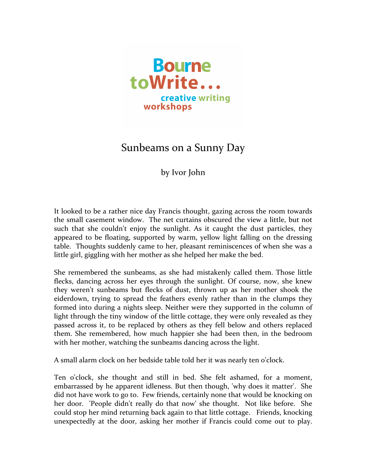

## Sunbeams on a Sunny Day

by Ivor John

It looked to be a rather nice day Francis thought, gazing across the room towards the small casement window. The net curtains obscured the view a little, but not such that she couldn't enjoy the sunlight. As it caught the dust particles, they appeared to be floating, supported by warm, yellow light falling on the dressing table. Thoughts suddenly came to her, pleasant reminiscences of when she was a little girl, giggling with her mother as she helped her make the bed.

She remembered the sunbeams, as she had mistakenly called them. Those little flecks, dancing across her eyes through the sunlight. Of course, now, she knew they weren't sunbeams but flecks of dust, thrown up as her mother shook the eiderdown, trying to spread the feathers evenly rather than in the clumps they formed into during a nights sleep. Neither were they supported in the column of light through the tiny window of the little cottage, they were only revealed as they passed across it, to be replaced by others as they fell below and others replaced them. She remembered, how much happier she had been then, in the bedroom with her mother, watching the sunbeams dancing across the light.

A small alarm clock on her bedside table told her it was nearly ten o'clock.

Ten o'clock, she thought and still in bed. She felt ashamed, for a moment, embarrassed by he apparent idleness. But then though, 'why does it matter'. She did not have work to go to. Few friends, certainly none that would be knocking on her door. 'People didn't really do that now' she thought. Not like before. She could stop her mind returning back again to that little cottage. Friends, knocking unexpectedly at the door, asking her mother if Francis could come out to play.